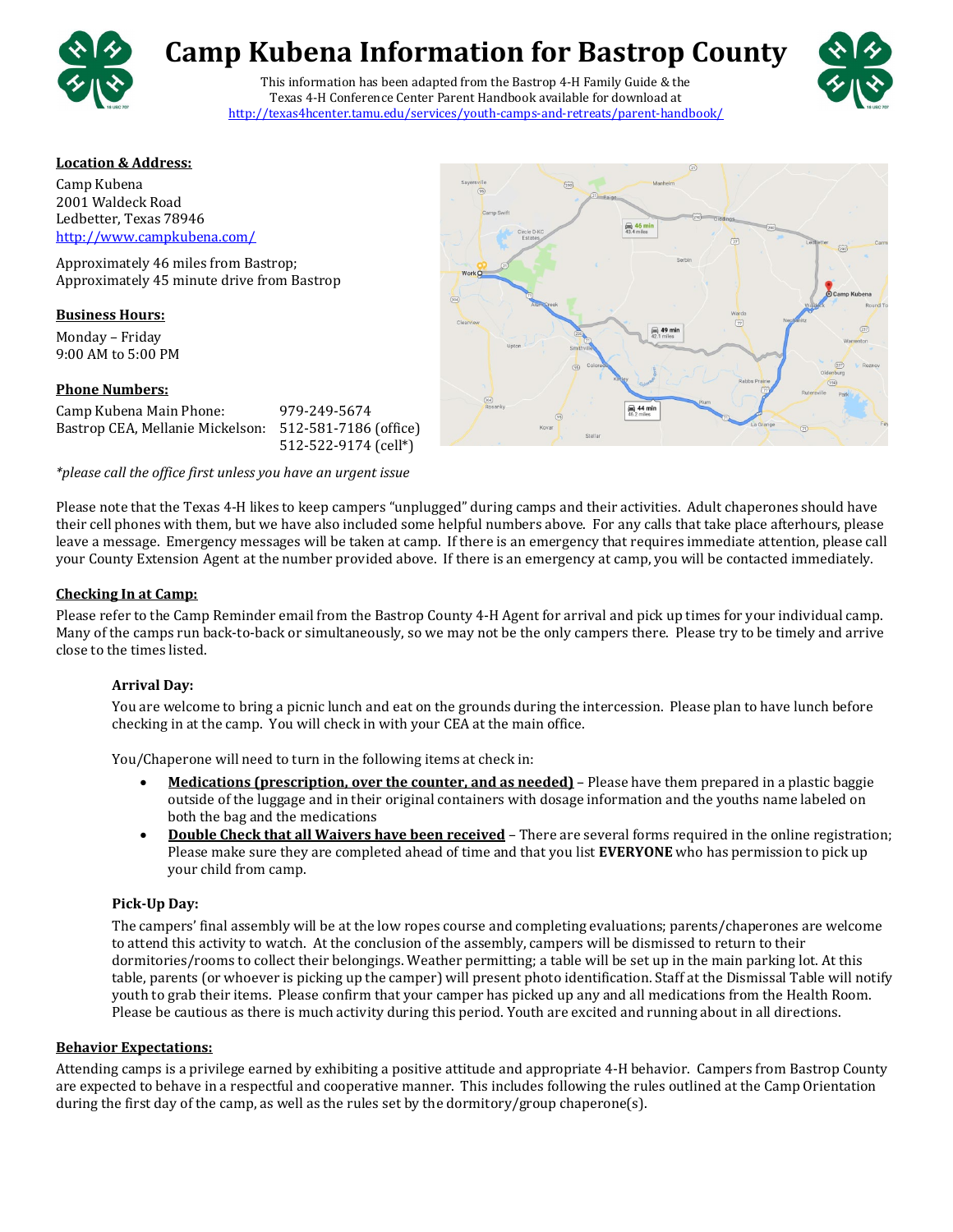

# **Camp Kubena Information for Bastrop County**

This information has been adapted from the Bastrop 4-H Family Guide & the Texas 4-H Conference Center Parent Handbook available for download at <http://texas4hcenter.tamu.edu/services/youth-camps-and-retreats/parent-handbook/>



#### **Location & Address:**

Camp Kubena 2001 Waldeck Road Ledbetter, Texas 78946 <http://www.campkubena.com/>

Approximately 46 miles from Bastrop; Approximately 45 minute drive from Bastrop

#### **Business Hours:**

Monday – Friday 9:00 AM to 5:00 PM

## **Phone Numbers:**

| Camp Kubena Main Phone:          | 979-249-5674          |
|----------------------------------|-----------------------|
| Bastrop CEA, Mellanie Mickelson: | 512-581-7186 (office) |
|                                  | 512-522-9174 (cell*)  |

*\*please call the office first unless you have an urgent issue*



Please note that the Texas 4-H likes to keep campers "unplugged" during camps and their activities. Adult chaperones should have their cell phones with them, but we have also included some helpful numbers above. For any calls that take place afterhours, please leave a message. Emergency messages will be taken at camp. If there is an emergency that requires immediate attention, please call your County Extension Agent at the number provided above. If there is an emergency at camp, you will be contacted immediately.

#### **Checking In at Camp:**

Please refer to the Camp Reminder email from the Bastrop County 4-H Agent for arrival and pick up times for your individual camp. Many of the camps run back-to-back or simultaneously, so we may not be the only campers there. Please try to be timely and arrive close to the times listed.

## **Arrival Day:**

You are welcome to bring a picnic lunch and eat on the grounds during the intercession. Please plan to have lunch before checking in at the camp. You will check in with your CEA at the main office.

You/Chaperone will need to turn in the following items at check in:

- **Medications (prescription, over the counter, and as needed)** Please have them prepared in a plastic baggie outside of the luggage and in their original containers with dosage information and the youths name labeled on both the bag and the medications
- **Double Check that all Waivers have been received** There are several forms required in the online registration; Please make sure they are completed ahead of time and that you list **EVERYONE** who has permission to pick up your child from camp.

## **Pick-Up Day:**

The campers' final assembly will be at the low ropes course and completing evaluations; parents/chaperones are welcome to attend this activity to watch. At the conclusion of the assembly, campers will be dismissed to return to their dormitories/rooms to collect their belongings. Weather permitting; a table will be set up in the main parking lot. At this table, parents (or whoever is picking up the camper) will present photo identification. Staff at the Dismissal Table will notify youth to grab their items. Please confirm that your camper has picked up any and all medications from the Health Room. Please be cautious as there is much activity during this period. Youth are excited and running about in all directions.

## **Behavior Expectations:**

Attending camps is a privilege earned by exhibiting a positive attitude and appropriate 4-H behavior. Campers from Bastrop County are expected to behave in a respectful and cooperative manner. This includes following the rules outlined at the Camp Orientation during the first day of the camp, as well as the rules set by the dormitory/group chaperone(s).